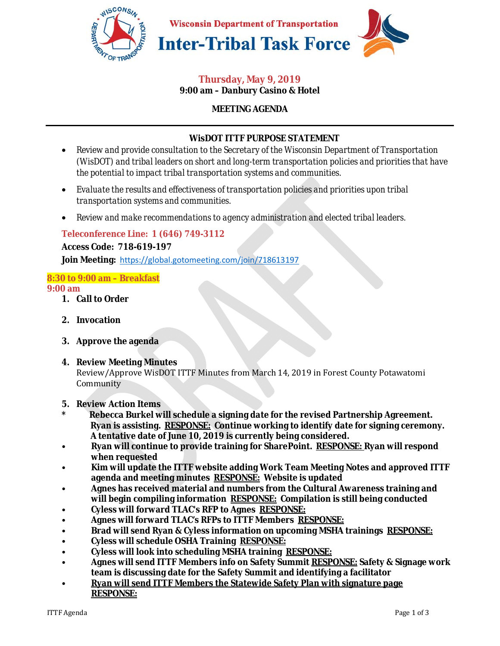

#### **Thursday, May 9, 2019 9:00 am – Danbury Casino & Hotel**

## **MEETING AGENDA**

## **WisDOT ITTF PURPOSE STATEMENT**

- *Review and provide consultation to the Secretary of the Wisconsin Department of Transportation (WisDOT) and tribal leaders on short and long-term transportation policies and priorities that have the potential to impact tribal transportation systems and communities.*
- *Evaluate the results and effectiveness of transportation policies and priorities upon tribal transportation systems and communities.*
- *Review and make recommendations to agency administration and elected tribal leaders.*

### **Teleconference Line: 1 (646) 749-3112**

#### **Access Code: 718-619-197**

**Join Meeting:** https://global.gotomeeting.com/join/718613197

# **8:30 to 9:00 am – Breakfast**

#### **9:00 am**

- **1. Call to Order**
- **2. Invocation**
- **3. Approve the agenda**
- **4. Review Meeting Minutes**

Review/Approve WisDOT ITTF Minutes from March 14, 2019 in Forest County Potawatomi Community

- **5. Review Action Items**
- **\* Rebecca Burkel will schedule a signing date for the revised Partnership Agreement. Ryan is assisting. RESPONSE: Continue working to identify date for signing ceremony. A tentative date of June 10, 2019 is currently being considered.**
- **Ryan will continue to provide training for SharePoint. RESPONSE: Ryan will respond when requested**
- **Kim will update the ITTF website adding Work Team Meeting Notes and approved ITTF agenda and meeting minutes RESPONSE: Website is updated**
- **Agnes has received material and numbers from the Cultural Awareness training and will begin compiling information RESPONSE: Compilation is still being conducted**
- **Cyless will forward TLAC's RFP to Agnes RESPONSE:**
- **Agnes will forward TLAC's RFPs to ITTF Members RESPONSE:**
- **Brad will send Ryan & Cyless information on upcoming MSHA trainings RESPONSE:**
- **Cyless will schedule OSHA Training RESPONSE:**
- **Cyless will look into scheduling MSHA training RESPONSE:**
- **Agnes will send ITTF Members info on Safety Summit RESPONSE: Safety & Signage work team is discussing date for the Safety Summit and identifying a facilitator**
- **Ryan will send ITTF Members the Statewide Safety Plan with signature page RESPONSE:**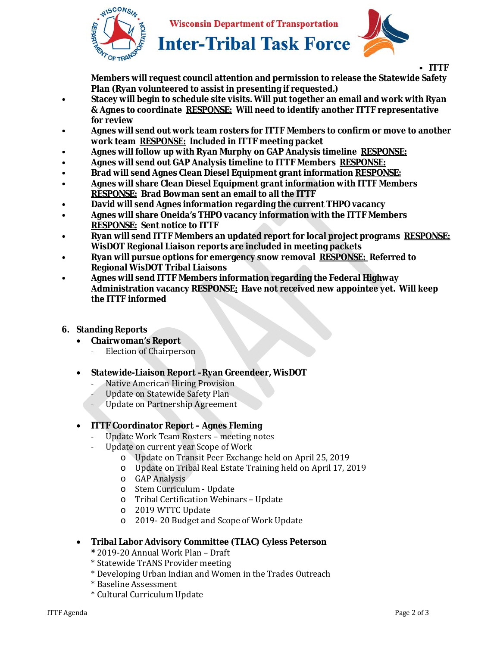

**Wisconsin Department of Transportation** 



• **ITTF Members will request council attention and permission to release the Statewide Safety Plan (Ryan volunteered to assist in presenting if requested.)** 

- **Stacey will begin to schedule site visits. Will put together an email and work with Ryan & Agnes to coordinate RESPONSE: Will need to identify another ITTF representative for review**
- **Agnes will send out work team rosters for ITTF Members to confirm or move to another work team RESPONSE: Included in ITTF meeting packet**
- **Agnes will follow up with Ryan Murphy on GAP Analysis timeline RESPONSE:**
- **Agnes will send out GAP Analysis timeline to ITTF Members RESPONSE:**
- **Brad will send Agnes Clean Diesel Equipment grant information RESPONSE:**
- **Agnes will share Clean Diesel Equipment grant information with ITTF Members RESPONSE: Brad Bowman sent an email to all the ITTF**
- **David will send Agnes information regarding the current THPO vacancy**
- **Agnes will share Oneida's THPO vacancy information with the ITTF Members RESPONSE: Sent notice to ITTF**
- **Ryan will send ITTF Members an updated report for local project programs RESPONSE: WisDOT Regional Liaison reports are included in meeting packets**
- **Ryan will pursue options for emergency snow removal RESPONSE: Referred to Regional WisDOT Tribal Liaisons**
- **Agnes will send ITTF Members information regarding the Federal Highway Administration vacancy RESPONSE: Have not received new appointee yet. Will keep the ITTF informed**
- **6. Standing Reports** 
	- **Chairwoman's Report**
		- Election of Chairperson
	- **Statewide-Liaison Report –Ryan Greendeer, WisDOT** 
		- Native American Hiring Provision
		- Update on Statewide Safety Plan
		- Update on Partnership Agreement

## • **ITTF Coordinator Report – Agnes Fleming**

- Update Work Team Rosters meeting notes
- Update on current year Scope of Work
	- o Update on Transit Peer Exchange held on April 25, 2019
	- o Update on Tribal Real Estate Training held on April 17, 2019
	- o GAP Analysis
	- o Stem Curriculum Update
	- o Tribal Certification Webinars Update
	- o 2019 WTTC Update
	- o 2019- 20 Budget and Scope of Work Update

### • **Tribal Labor Advisory Committee (TLAC) Cyless Peterson**

- **\*** 2019-20 Annual Work Plan Draft
- \* Statewide TrANS Provider meeting
- \* Developing Urban Indian and Women in the Trades Outreach
- \* Baseline Assessment
- \* Cultural Curriculum Update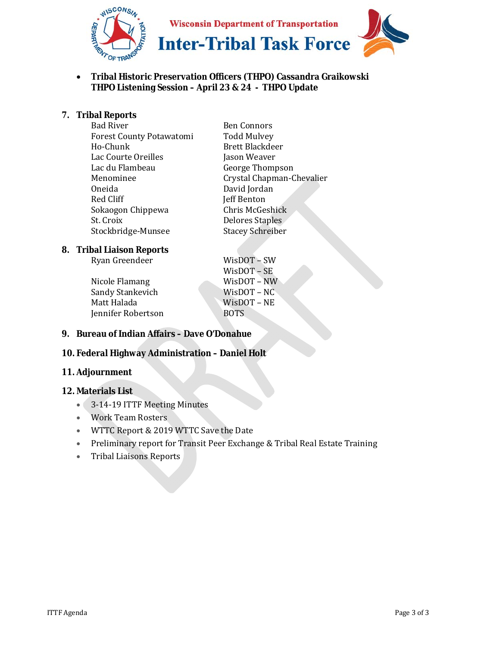

• **Tribal Historic Preservation Officers (THPO) Cassandra Graikowski THPO Listening Session – April 23 & 24 - THPO Update** 

### **7. Tribal Reports**

| <b>Bad River</b>                | <b>Ben Connors</b>        |
|---------------------------------|---------------------------|
| <b>Forest County Potawatomi</b> | <b>Todd Mulvey</b>        |
| Ho-Chunk                        | <b>Brett Blackdeer</b>    |
| Lac Courte Oreilles             | Jason Weaver              |
| Lac du Flambeau                 | George Thompson           |
| Menominee                       | Crystal Chapman-Chevalier |
| Oneida                          | David Jordan              |
| Red Cliff                       | Jeff Benton               |
| Sokaogon Chippewa               | Chris McGeshick           |
| St. Croix                       | <b>Delores Staples</b>    |
| Stockbridge-Munsee              | <b>Stacey Schreiber</b>   |
|                                 |                           |

#### **8. Tribal Liaison Reports**

| Ryan Greendeer | $W$ isDOT – SW |  |
|----------------|----------------|--|
|----------------|----------------|--|

Nicole Flamang WisDOT – NW Sandy Stankevich WisDOT – NC Matt Halada WisDOT – NE Jennifer Robertson BOTS

WisDOT – SE

### **9. Bureau of Indian Affairs – Dave O'Donahue**

# **10. Federal Highway Administration – Daniel Holt**

#### **11. Adjournment**

#### **12. Materials List**

- 3-14-19 ITTF Meeting Minutes
- Work Team Rosters
- WTTC Report & 2019 WTTC Save the Date
- Preliminary report for Transit Peer Exchange & Tribal Real Estate Training
- Tribal Liaisons Reports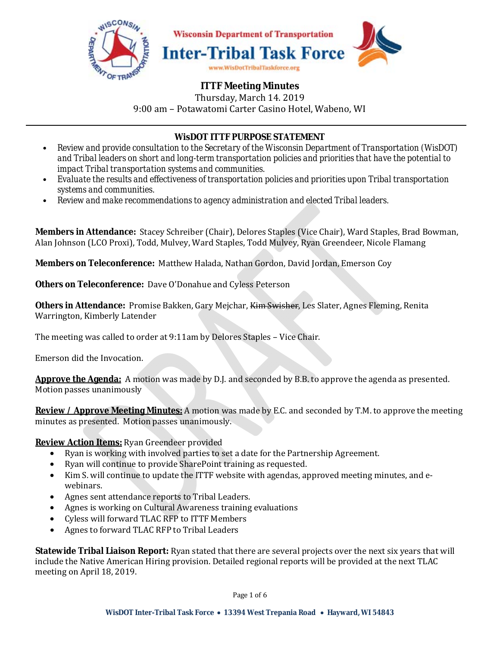

# **ITTF Meeting Minutes**

Thursday, March 14. 2019 9:00 am – Potawatomi Carter Casino Hotel, Wabeno, WI

## **WisDOT ITTF PURPOSE STATEMENT**

- *Review and provide consultation to the Secretary of the Wisconsin Department of Transportation (WisDOT) and Tribal leaders on short and long-term transportation policies and priorities that have the potential to impact Tribal transportation systems and communities.*
- *Evaluate the results and effectiveness of transportation policies and priorities upon Tribal transportation systems and communities.*
- *Review and make recommendations to agency administration and elected Tribal leaders.*

**Members in Attendance:** Stacey Schreiber (Chair), Delores Staples (Vice Chair), Ward Staples, Brad Bowman, Alan Johnson (LCO Proxi), Todd, Mulvey, Ward Staples, Todd Mulvey, Ryan Greendeer, Nicole Flamang

**Members on Teleconference:** Matthew Halada, Nathan Gordon, David Jordan, Emerson Coy

**Others on Teleconference:** Dave O'Donahue and Cyless Peterson

**Others in Attendance:** Promise Bakken, Gary Mejchar, Kim Swisher, Les Slater, Agnes Fleming, Renita Warrington, Kimberly Latender

The meeting was called to order at 9:11am by Delores Staples – Vice Chair.

Emerson did the Invocation.

**Approve the Agenda:** A motion was made by D.J. and seconded by B.B. to approve the agenda as presented. Motion passes unanimously

**Review / Approve Meeting Minutes:** A motion was made by E.C. and seconded by T.M. to approve the meeting minutes as presented. Motion passes unanimously.

**Review Action Items:** Ryan Greendeer provided

- Ryan is working with involved parties to set a date for the Partnership Agreement.
- Ryan will continue to provide SharePoint training as requested.
- Kim S. will continue to update the ITTF website with agendas, approved meeting minutes, and ewebinars.
- Agnes sent attendance reports to Tribal Leaders.
- Agnes is working on Cultural Awareness training evaluations
- Cyless will forward TLAC RFP to ITTF Members
- Agnes to forward TLAC RFP to Tribal Leaders

**Statewide Tribal Liaison Report:** Ryan stated that there are several projects over the next six years that will include the Native American Hiring provision. Detailed regional reports will be provided at the next TLAC meeting on April 18, 2019.

Page 1 of 6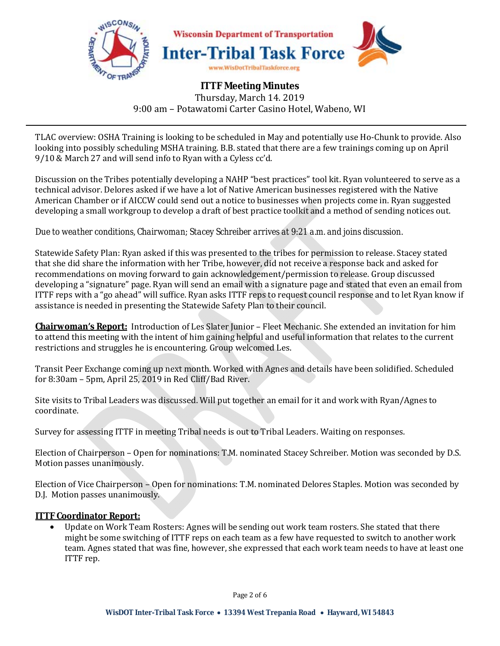

# **ITTF Meeting Minutes**  Thursday, March 14. 2019 9:00 am – Potawatomi Carter Casino Hotel, Wabeno, WI

TLAC overview: OSHA Training is looking to be scheduled in May and potentially use Ho-Chunk to provide. Also looking into possibly scheduling MSHA training. B.B. stated that there are a few trainings coming up on April 9/10 & March 27 and will send info to Ryan with a Cyless cc'd.

Discussion on the Tribes potentially developing a NAHP "best practices" tool kit. Ryan volunteered to serve as a technical advisor. Delores asked if we have a lot of Native American businesses registered with the Native American Chamber or if AICCW could send out a notice to businesses when projects come in. Ryan suggested developing a small workgroup to develop a draft of best practice toolkit and a method of sending notices out.

### *Due to weather conditions, Chairwoman; Stacey Schreiber arrives at 9:21 a.m. and joins discussion.*

Statewide Safety Plan: Ryan asked if this was presented to the tribes for permission to release. Stacey stated that she did share the information with her Tribe, however, did not receive a response back and asked for recommendations on moving forward to gain acknowledgement/permission to release. Group discussed developing a "signature" page. Ryan will send an email with a signature page and stated that even an email from ITTF reps with a "go ahead" will suffice. Ryan asks ITTF reps to request council response and to let Ryan know if assistance is needed in presenting the Statewide Safety Plan to their council.

**Chairwoman's Report:** Introduction of Les Slater Junior – Fleet Mechanic. She extended an invitation for him to attend this meeting with the intent of him gaining helpful and useful information that relates to the current restrictions and struggles he is encountering. Group welcomed Les.

Transit Peer Exchange coming up next month. Worked with Agnes and details have been solidified. Scheduled for 8:30am – 5pm, April 25, 2019 in Red Cliff/Bad River.

Site visits to Tribal Leaders was discussed. Will put together an email for it and work with Ryan/Agnes to coordinate.

Survey for assessing ITTF in meeting Tribal needs is out to Tribal Leaders. Waiting on responses.

Election of Chairperson – Open for nominations: T.M. nominated Stacey Schreiber. Motion was seconded by D.S. Motion passes unanimously.

Election of Vice Chairperson – Open for nominations: T.M. nominated Delores Staples. Motion was seconded by D.J. Motion passes unanimously.

### **ITTF Coordinator Report:**

• Update on Work Team Rosters: Agnes will be sending out work team rosters. She stated that there might be some switching of ITTF reps on each team as a few have requested to switch to another work team. Agnes stated that was fine, however, she expressed that each work team needs to have at least one ITTF rep.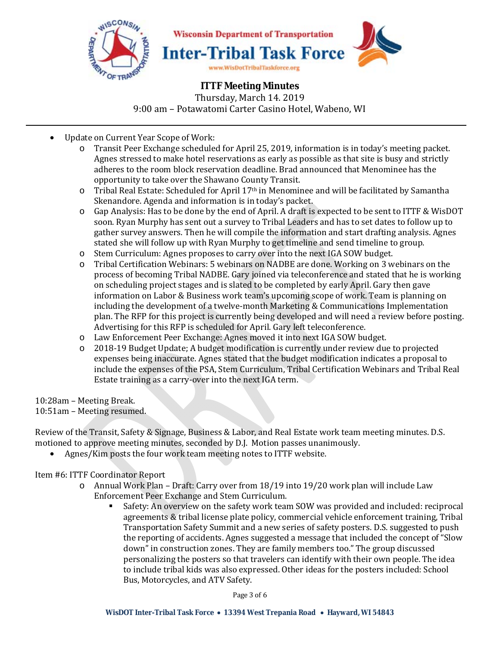

**ITTF Meeting Minutes**  Thursday, March 14. 2019 9:00 am – Potawatomi Carter Casino Hotel, Wabeno, WI

- Update on Current Year Scope of Work:
	- o Transit Peer Exchange scheduled for April 25, 2019, information is in today's meeting packet. Agnes stressed to make hotel reservations as early as possible as that site is busy and strictly adheres to the room block reservation deadline. Brad announced that Menominee has the opportunity to take over the Shawano County Transit.
	- $\circ$  Tribal Real Estate: Scheduled for April 17<sup>th</sup> in Menominee and will be facilitated by Samantha Skenandore. Agenda and information is in today's packet.
	- o Gap Analysis: Has to be done by the end of April. A draft is expected to be sent to ITTF & WisDOT soon. Ryan Murphy has sent out a survey to Tribal Leaders and has to set dates to follow up to gather survey answers. Then he will compile the information and start drafting analysis. Agnes stated she will follow up with Ryan Murphy to get timeline and send timeline to group.
	- o Stem Curriculum: Agnes proposes to carry over into the next IGA SOW budget.
	- o Tribal Certification Webinars: 5 webinars on NADBE are done. Working on 3 webinars on the process of becoming Tribal NADBE. Gary joined via teleconference and stated that he is working on scheduling project stages and is slated to be completed by early April. Gary then gave information on Labor & Business work team's upcoming scope of work. Team is planning on including the development of a twelve-month Marketing & Communications Implementation plan. The RFP for this project is currently being developed and will need a review before posting. Advertising for this RFP is scheduled for April. Gary left teleconference.
	- o Law Enforcement Peer Exchange: Agnes moved it into next IGA SOW budget.
	- o 2018-19 Budget Update; A budget modification is currently under review due to projected expenses being inaccurate. Agnes stated that the budget modification indicates a proposal to include the expenses of the PSA, Stem Curriculum, Tribal Certification Webinars and Tribal Real Estate training as a carry-over into the next IGA term.

10:28am – Meeting Break.

10:51am – Meeting resumed.

Review of the Transit, Safety & Signage, Business & Labor, and Real Estate work team meeting minutes. D.S. motioned to approve meeting minutes, seconded by D.J. Motion passes unanimously.

• Agnes/Kim posts the four work team meeting notes to ITTF website.

Item #6: ITTF Coordinator Report

- o Annual Work Plan Draft: Carry over from 18/19 into 19/20 work plan will include Law Enforcement Peer Exchange and Stem Curriculum.
	- Safety: An overview on the safety work team SOW was provided and included: reciprocal agreements & tribal license plate policy, commercial vehicle enforcement training, Tribal Transportation Safety Summit and a new series of safety posters. D.S. suggested to push the reporting of accidents. Agnes suggested a message that included the concept of "Slow down" in construction zones. They are family members too." The group discussed personalizing the posters so that travelers can identify with their own people. The idea to include tribal kids was also expressed. Other ideas for the posters included: School Bus, Motorcycles, and ATV Safety.

Page 3 of 6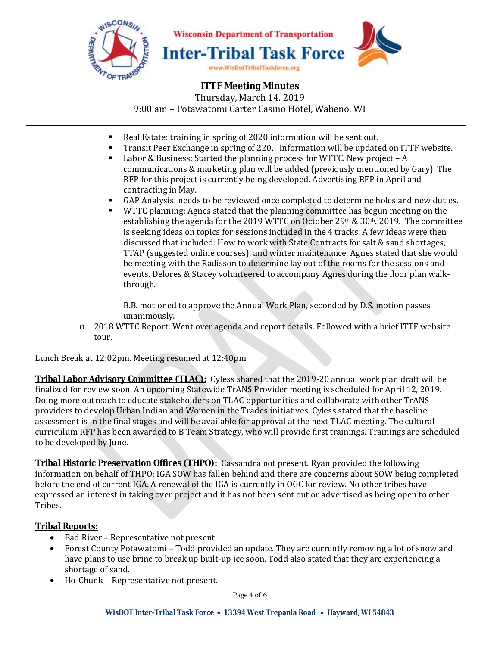

## **ITTF Meeting Minutes**

Thursday, March 14. 2019 9:00 am – Potawatomi Carter Casino Hotel, Wabeno, WI

- Real Estate: training in spring of 2020 information will be sent out.
- Transit Peer Exchange in spring of 220. Information will be updated on ITTF website.
- $\blacksquare$  Labor & Business: Started the planning process for WTTC. New project A communications & marketing plan will be added (previously mentioned by Gary). The RFP for this project is currently being developed. Advertising RFP in April and contracting in May.
- GAP Analysis: needs to be reviewed once completed to determine holes and new duties.
- WTTC planning: Agnes stated that the planning committee has begun meeting on the establishing the agenda for the 2019 WTTC on October 29th &  $30<sup>th</sup>$ . 2019. The committee is seeking ideas on topics for sessions included in the 4 tracks. A few ideas were then discussed that included: How to work with State Contracts for salt & sand shortages, TTAP (suggested online courses), and winter maintenance. Agnes stated that she would be meeting with the Radisson to determine lay out of the rooms for the sessions and events. Delores & Stacey volunteered to accompany Agnes during the floor plan walkthrough.

B.B. motioned to approve the Annual Work Plan, seconded by D.S. motion passes unanimously.

o 2018 WTTC Report: Went over agenda and report details. Followed with a brief ITTF website tour.

Lunch Break at 12:02pm. Meeting resumed at 12:40pm

**Tribal Labor Advisory Committee (TLAC):** Cyless shared that the 2019-20 annual work plan draft will be finalized for review soon. An upcoming Statewide TrANS Provider meeting is scheduled for April 12, 2019. Doing more outreach to educate stakeholders on TLAC opportunities and collaborate with other TrANS providers to develop Urban Indian and Women in the Trades initiatives. Cyless stated that the baseline assessment is in the final stages and will be available for approval at the next TLAC meeting. The cultural curriculum RFP has been awarded to B Team Strategy, who will provide first trainings. Trainings are scheduled to be developed by June.

**Tribal Historic Preservation Offices (THPO):** Cassandra not present. Ryan provided the following information on behalf of THPO: IGA SOW has fallen behind and there are concerns about SOW being completed before the end of current IGA. A renewal of the IGA is currently in OGC for review. No other tribes have expressed an interest in taking over project and it has not been sent out or advertised as being open to other Tribes.

### **Tribal Reports:**

- Bad River Representative not present.
- Forest County Potawatomi Todd provided an update. They are currently removing a lot of snow and have plans to use brine to break up built-up ice soon. Todd also stated that they are experiencing a shortage of sand.
- Ho-Chunk Representative not present.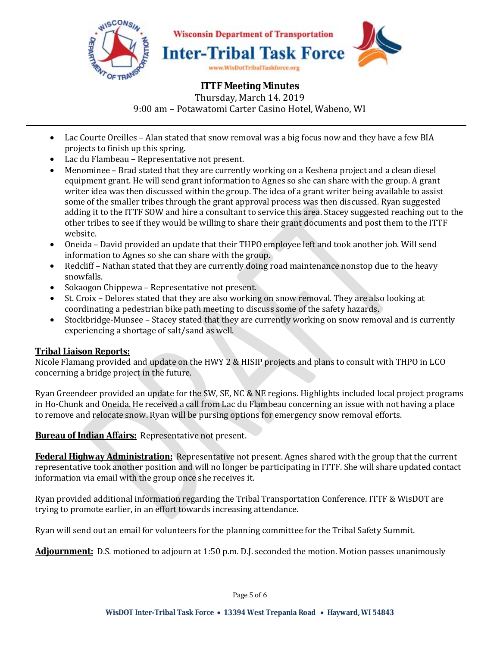

## **ITTF Meeting Minutes**  Thursday, March 14. 2019 9:00 am – Potawatomi Carter Casino Hotel, Wabeno, WI

- Lac Courte Oreilles Alan stated that snow removal was a big focus now and they have a few BIA projects to finish up this spring.
- Lac du Flambeau Representative not present.
- Menominee Brad stated that they are currently working on a Keshena project and a clean diesel equipment grant. He will send grant information to Agnes so she can share with the group. A grant writer idea was then discussed within the group. The idea of a grant writer being available to assist some of the smaller tribes through the grant approval process was then discussed. Ryan suggested adding it to the ITTF SOW and hire a consultant to service this area. Stacey suggested reaching out to the other tribes to see if they would be willing to share their grant documents and post them to the ITTF website.
- Oneida David provided an update that their THPO employee left and took another job. Will send information to Agnes so she can share with the group.
- Redcliff Nathan stated that they are currently doing road maintenance nonstop due to the heavy snowfalls.
- Sokaogon Chippewa Representative not present.
- St. Croix Delores stated that they are also working on snow removal. They are also looking at coordinating a pedestrian bike path meeting to discuss some of the safety hazards.
- Stockbridge-Munsee Stacey stated that they are currently working on snow removal and is currently experiencing a shortage of salt/sand as well.

## **Tribal Liaison Reports:**

Nicole Flamang provided and update on the HWY 2 & HISIP projects and plans to consult with THPO in LCO concerning a bridge project in the future.

Ryan Greendeer provided an update for the SW, SE, NC & NE regions. Highlights included local project programs in Ho-Chunk and Oneida. He received a call from Lac du Flambeau concerning an issue with not having a place to remove and relocate snow. Ryan will be pursing options for emergency snow removal efforts.

**Bureau of Indian Affairs:** Representative not present.

**Federal Highway Administration:** Representative not present. Agnes shared with the group that the current representative took another position and will no longer be participating in ITTF. She will share updated contact information via email with the group once she receives it.

Ryan provided additional information regarding the Tribal Transportation Conference. ITTF & WisDOT are trying to promote earlier, in an effort towards increasing attendance.

Ryan will send out an email for volunteers for the planning committee for the Tribal Safety Summit.

**Adjournment:** D.S. motioned to adjourn at 1:50 p.m. D.J. seconded the motion. Motion passes unanimously